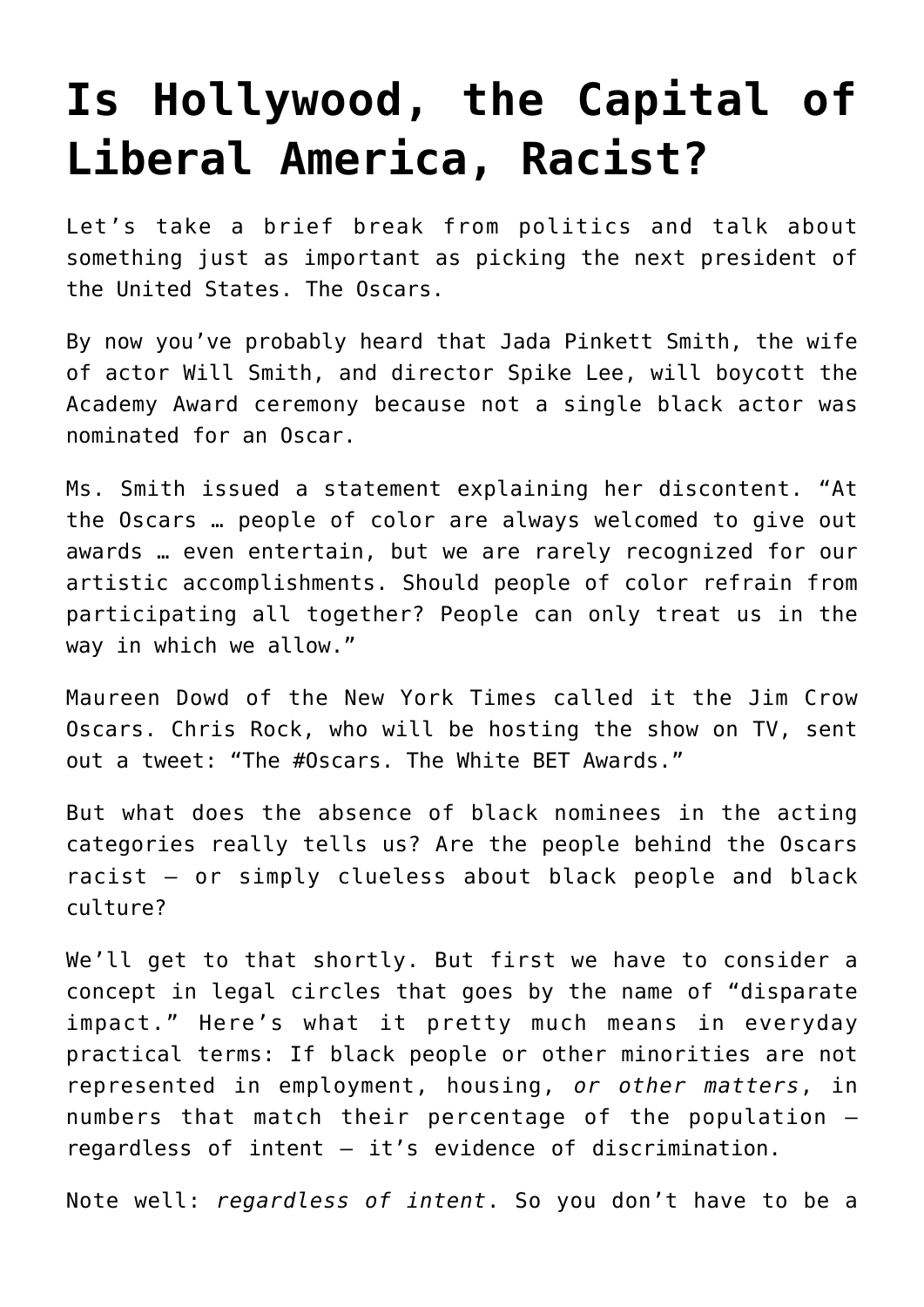## **[Is Hollywood, the Capital of](https://bernardgoldberg.com/is-hollywood-the-capital-of-liberal-america-racist/) [Liberal America, Racist?](https://bernardgoldberg.com/is-hollywood-the-capital-of-liberal-america-racist/)**

Let's take a brief break from politics and talk about something just as important as picking the next president of the United States. The Oscars.

By now you've probably heard that Jada Pinkett Smith, the wife of actor Will Smith, and director Spike Lee, will boycott the Academy Award ceremony because not a single black actor was nominated for an Oscar.

Ms. Smith issued a statement explaining her discontent. "At the Oscars … people of color are always welcomed to give out awards … even entertain, but we are rarely recognized for our artistic accomplishments. Should people of color refrain from participating all together? People can only treat us in the way in which we allow."

Maureen Dowd of the New York Times called it the Jim Crow Oscars. Chris Rock, who will be hosting the show on TV, sent out a tweet: "The #Oscars. The White BET Awards."

But what does the absence of black nominees in the acting categories really tells us? Are the people behind the Oscars racist – or simply clueless about black people and black culture?

We'll get to that shortly. But first we have to consider a concept in legal circles that goes by the name of "disparate impact." Here's what it pretty much means in everyday practical terms: If black people or other minorities are not represented in employment, housing, *or other matters*, in numbers that match their percentage of the population – regardless of intent — it's evidence of discrimination.

Note well: *regardless of intent*. So you don't have to be a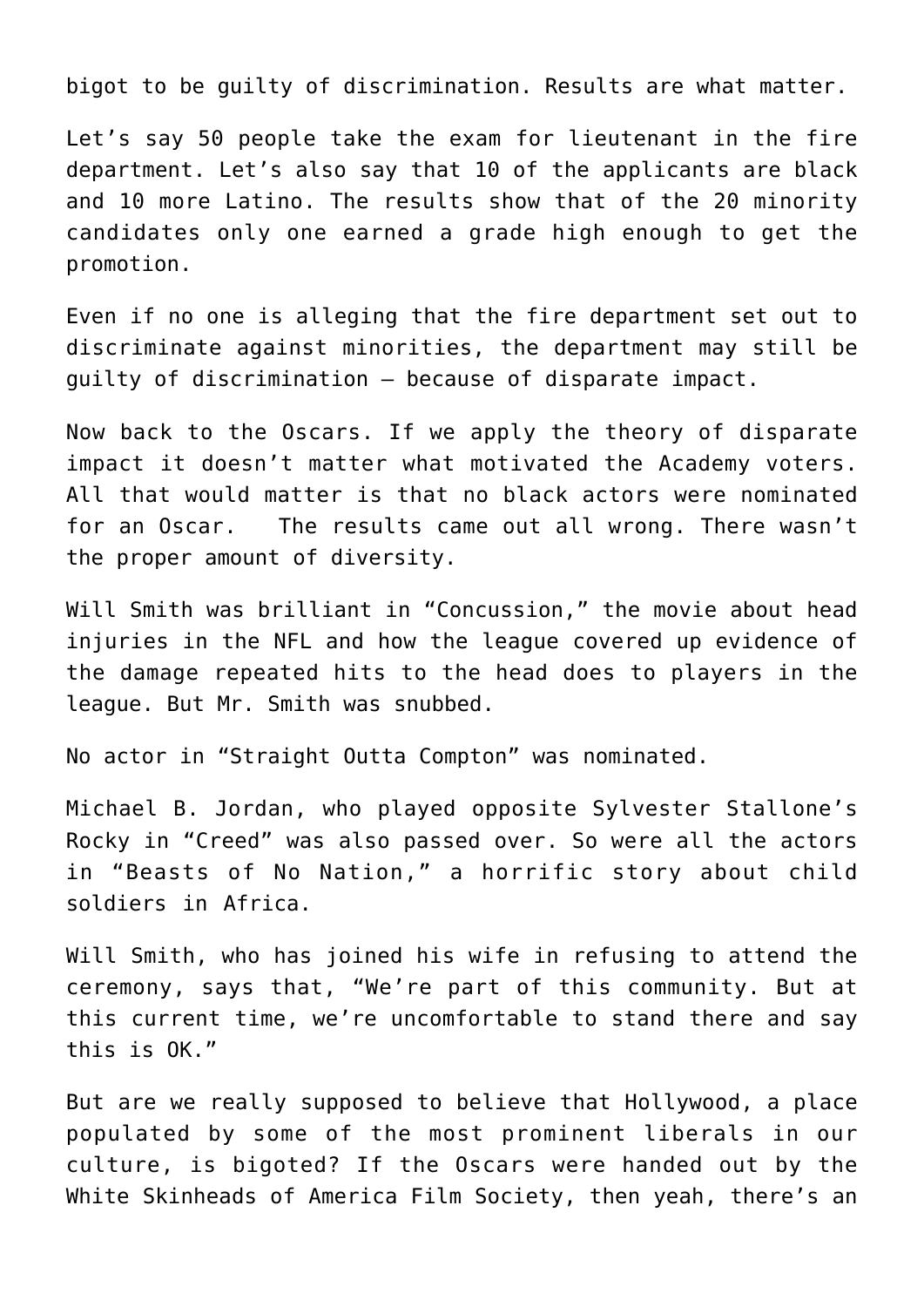bigot to be guilty of discrimination. Results are what matter.

Let's say 50 people take the exam for lieutenant in the fire department. Let's also say that 10 of the applicants are black and 10 more Latino. The results show that of the 20 minority candidates only one earned a grade high enough to get the promotion.

Even if no one is alleging that the fire department set out to discriminate against minorities, the department may still be guilty of discrimination – because of disparate impact.

Now back to the Oscars. If we apply the theory of disparate impact it doesn't matter what motivated the Academy voters. All that would matter is that no black actors were nominated for an Oscar. The results came out all wrong. There wasn't the proper amount of diversity.

Will Smith was brilliant in "Concussion," the movie about head injuries in the NFL and how the league covered up evidence of the damage repeated hits to the head does to players in the league. But Mr. Smith was snubbed.

No actor in "Straight Outta Compton" was nominated.

Michael B. Jordan, who played opposite Sylvester Stallone's Rocky in "Creed" was also passed over. So were all the actors in "Beasts of No Nation," a horrific story about child soldiers in Africa.

Will Smith, who has joined his wife in refusing to attend the ceremony, says that, "We're part of this community. But at this current time, we're uncomfortable to stand there and say this is OK."

But are we really supposed to believe that Hollywood, a place populated by some of the most prominent liberals in our culture, is bigoted? If the Oscars were handed out by the White Skinheads of America Film Society, then yeah, there's an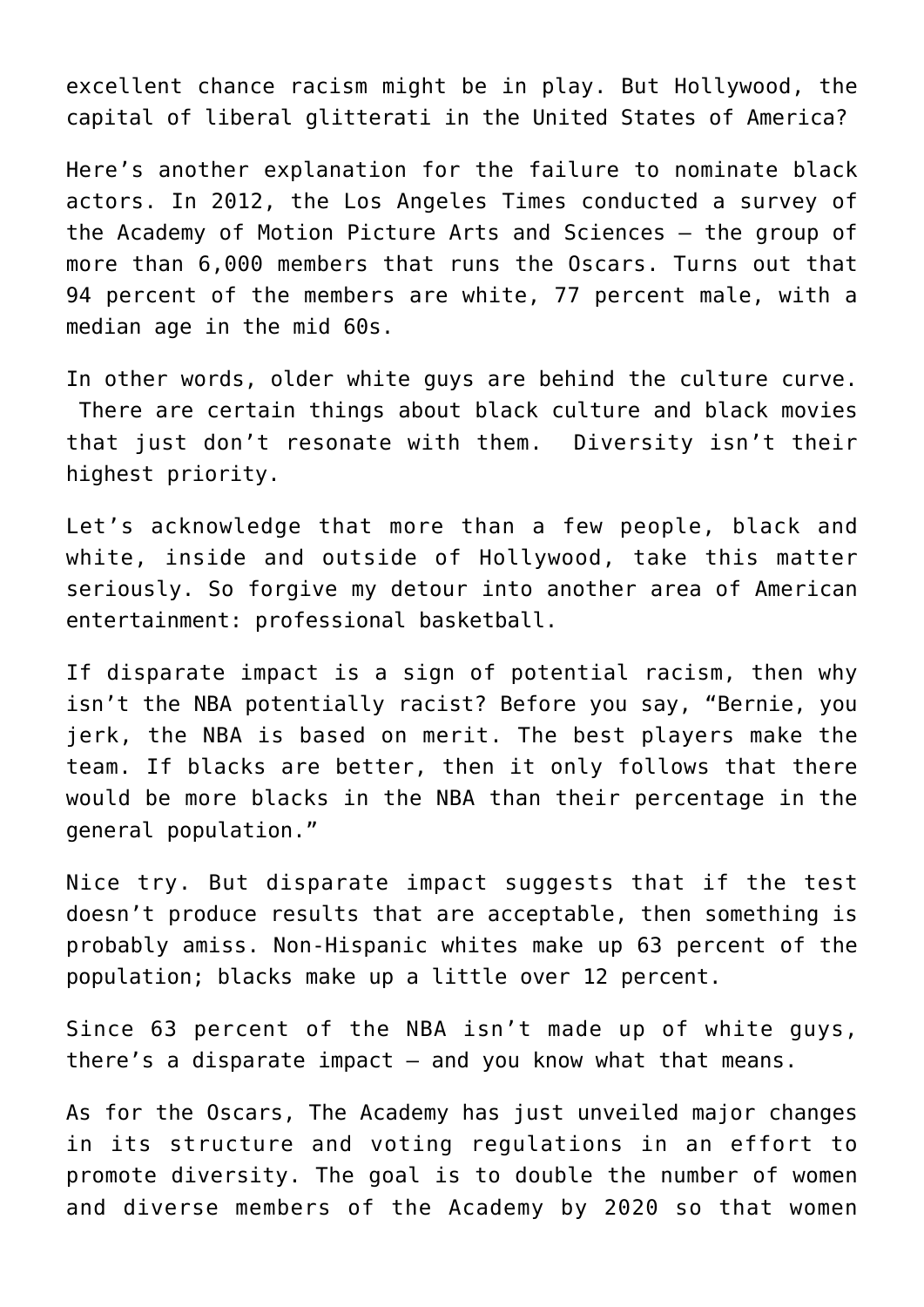excellent chance racism might be in play. But Hollywood, the capital of liberal glitterati in the United States of America?

Here's another explanation for the failure to nominate black actors. In 2012, the Los Angeles Times conducted a survey of the Academy of Motion Picture Arts and Sciences – the group of more than 6,000 members that runs the Oscars. Turns out that 94 percent of the members are white, 77 percent male, with a median age in the mid 60s.

In other words, older white guys are behind the culture curve. There are certain things about black culture and black movies that just don't resonate with them. Diversity isn't their highest priority.

Let's acknowledge that more than a few people, black and white, inside and outside of Hollywood, take this matter seriously. So forgive my detour into another area of American entertainment: professional basketball.

If disparate impact is a sign of potential racism, then why isn't the NBA potentially racist? Before you say, "Bernie, you jerk, the NBA is based on merit. The best players make the team. If blacks are better, then it only follows that there would be more blacks in the NBA than their percentage in the general population."

Nice try. But disparate impact suggests that if the test doesn't produce results that are acceptable, then something is probably amiss. Non-Hispanic whites make up 63 percent of the population; blacks make up a little over 12 percent.

Since 63 percent of the NBA isn't made up of white guys, there's a disparate impact – and you know what that means.

As for the Oscars, The Academy has just unveiled major changes in its structure and voting regulations in an effort to promote diversity. The goal is to double the number of women and diverse members of the Academy by 2020 so that women